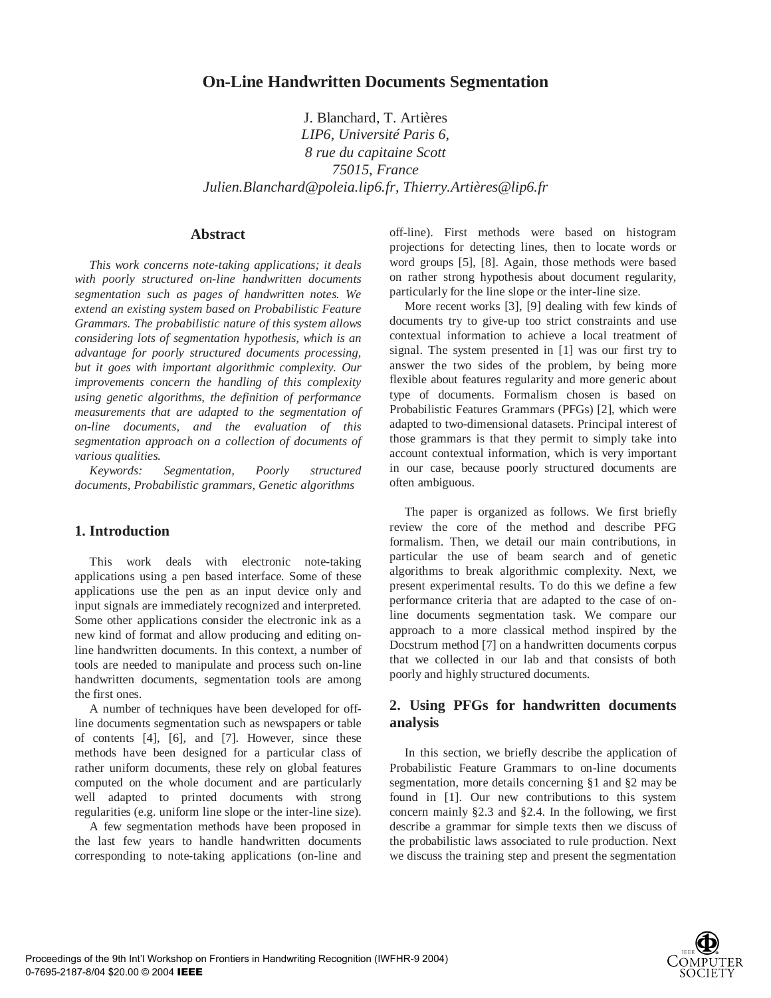# **On-Line Handwritten Documents Segmentation**

J. Blanchard, T. Artières *LIP6, Université Paris 6, 8 rue du capitaine Scott 75015, France Julien.Blanchard@poleia.lip6.fr, Thierry.Artières@lip6.fr*

### **Abstract**

*This work concerns note-taking applications; it deals with poorly structured on-line handwritten documents segmentation such as pages of handwritten notes. We extend an existing system based on Probabilistic Feature Grammars. The probabilistic nature of this system allows considering lots of segmentation hypothesis, which is an advantage for poorly structured documents processing, but it goes with important algorithmic complexity. Our improvements concern the handling of this complexity using genetic algorithms, the definition of performance measurements that are adapted to the segmentation of on-line documents, and the evaluation of this segmentation approach on a collection of documents of various qualities.* 

*Keywords: Segmentation, Poorly structured documents, Probabilistic grammars, Genetic algorithms* 

## **1. Introduction**

This work deals with electronic note-taking applications using a pen based interface. Some of these applications use the pen as an input device only and input signals are immediately recognized and interpreted. Some other applications consider the electronic ink as a new kind of format and allow producing and editing online handwritten documents. In this context, a number of tools are needed to manipulate and process such on-line handwritten documents, segmentation tools are among the first ones.

A number of techniques have been developed for offline documents segmentation such as newspapers or table of contents [4], [6], and [7]. However, since these methods have been designed for a particular class of rather uniform documents, these rely on global features computed on the whole document and are particularly well adapted to printed documents with strong regularities (e.g. uniform line slope or the inter-line size).

A few segmentation methods have been proposed in the last few years to handle handwritten documents corresponding to note-taking applications (on-line and off-line). First methods were based on histogram projections for detecting lines, then to locate words or word groups [5], [8]. Again, those methods were based on rather strong hypothesis about document regularity, particularly for the line slope or the inter-line size.

More recent works [3], [9] dealing with few kinds of documents try to give-up too strict constraints and use contextual information to achieve a local treatment of signal. The system presented in [1] was our first try to answer the two sides of the problem, by being more flexible about features regularity and more generic about type of documents. Formalism chosen is based on Probabilistic Features Grammars (PFGs) [2], which were adapted to two-dimensional datasets. Principal interest of those grammars is that they permit to simply take into account contextual information, which is very important in our case, because poorly structured documents are often ambiguous.

The paper is organized as follows. We first briefly review the core of the method and describe PFG formalism. Then, we detail our main contributions, in particular the use of beam search and of genetic algorithms to break algorithmic complexity. Next, we present experimental results. To do this we define a few performance criteria that are adapted to the case of online documents segmentation task. We compare our approach to a more classical method inspired by the Docstrum method [7] on a handwritten documents corpus that we collected in our lab and that consists of both poorly and highly structured documents.

## **2. Using PFGs for handwritten documents analysis**

In this section, we briefly describe the application of Probabilistic Feature Grammars to on-line documents segmentation, more details concerning §1 and §2 may be found in [1]. Our new contributions to this system concern mainly §2.3 and §2.4. In the following, we first describe a grammar for simple texts then we discuss of the probabilistic laws associated to rule production. Next we discuss the training step and present the segmentation

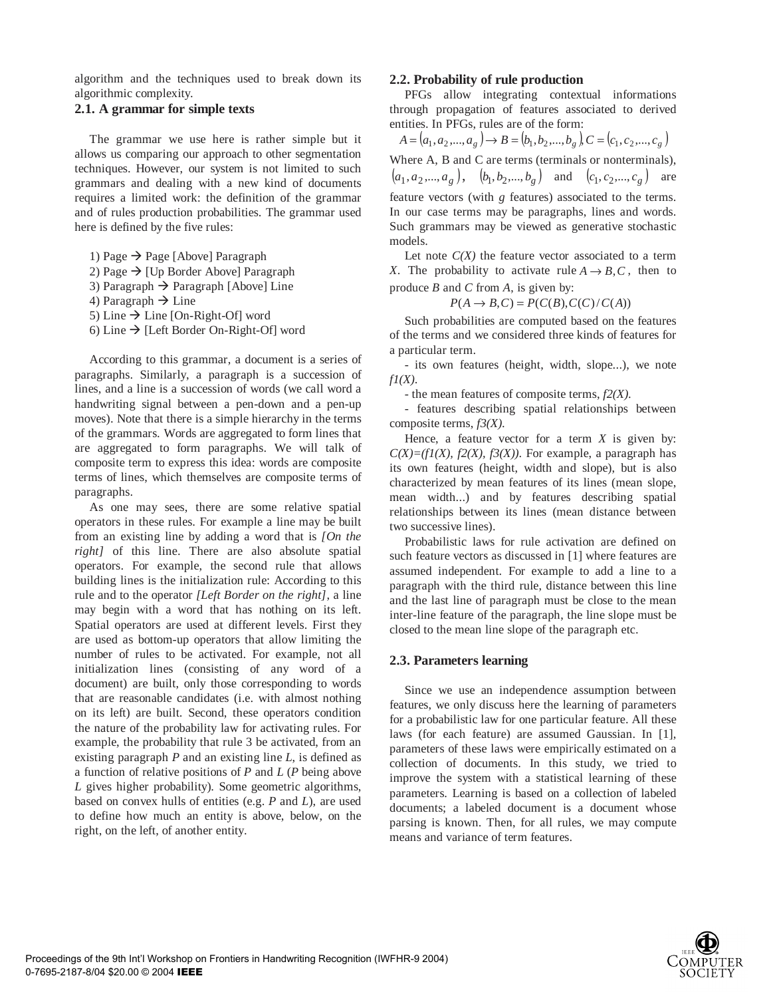algorithm and the techniques used to break down its algorithmic complexity.

#### **2.1. A grammar for simple texts**

The grammar we use here is rather simple but it allows us comparing our approach to other segmentation techniques. However, our system is not limited to such grammars and dealing with a new kind of documents requires a limited work: the definition of the grammar and of rules production probabilities. The grammar used here is defined by the five rules:

1) Page  $\rightarrow$  Page [Above] Paragraph

- 2) Page  $\rightarrow$  [Up Border Above] Paragraph
- 3) Paragraph  $\rightarrow$  Paragraph [Above] Line
- 4) Paragraph  $\rightarrow$  Line
- 5) Line  $\rightarrow$  Line [On-Right-Of] word
- 6) Line  $\rightarrow$  [Left Border On-Right-Of] word

According to this grammar, a document is a series of paragraphs. Similarly, a paragraph is a succession of lines, and a line is a succession of words (we call word a handwriting signal between a pen-down and a pen-up moves). Note that there is a simple hierarchy in the terms of the grammars. Words are aggregated to form lines that are aggregated to form paragraphs. We will talk of composite term to express this idea: words are composite terms of lines, which themselves are composite terms of paragraphs.

As one may sees, there are some relative spatial operators in these rules. For example a line may be built from an existing line by adding a word that is *[On the right]* of this line. There are also absolute spatial operators. For example, the second rule that allows building lines is the initialization rule: According to this rule and to the operator *[Left Border on the right]*, a line may begin with a word that has nothing on its left. Spatial operators are used at different levels. First they are used as bottom-up operators that allow limiting the number of rules to be activated. For example, not all initialization lines (consisting of any word of a document) are built, only those corresponding to words that are reasonable candidates (i.e. with almost nothing on its left) are built. Second, these operators condition the nature of the probability law for activating rules. For example, the probability that rule 3 be activated, from an existing paragraph *P* and an existing line *L*, is defined as a function of relative positions of *P* and *L* (*P* being above *L* gives higher probability). Some geometric algorithms, based on convex hulls of entities (e.g. *P* and *L*), are used to define how much an entity is above, below, on the right, on the left, of another entity.

## **2.2. Probability of rule production**

PFGs allow integrating contextual informations through propagation of features associated to derived entities. In PFGs, rules are of the form:

 $A = (a_1, a_2, ..., a_g) \rightarrow B = (b_1, b_2, ..., b_g), C = (c_1, c_2, ..., c_g)$ Where A, B and C are terms (terminals or nonterminals),  $(a_1, a_2,..., a_g), (b_1, b_2,..., b_g)$  and  $(c_1, c_2,..., c_g)$  are feature vectors (with *g* features) associated to the terms. In our case terms may be paragraphs, lines and words. Such grammars may be viewed as generative stochastic models.

Let note  $C(X)$  the feature vector associated to a term *X*. The probability to activate rule  $A \rightarrow B, C$ , then to produce *B* and *C* from *A*, is given by:

$$
P(A \to B, C) = P(C(B), C(C)/C(A))
$$

Such probabilities are computed based on the features of the terms and we considered three kinds of features for a particular term.

- its own features (height, width, slope...), we note *f1(X)*.

- the mean features of composite terms, *f2(X)*.

- features describing spatial relationships between composite terms, *f3(X)*.

Hence, a feature vector for a term  $X$  is given by:  $C(X) = (f1(X), f2(X), f3(X))$ . For example, a paragraph has its own features (height, width and slope), but is also characterized by mean features of its lines (mean slope, mean width...) and by features describing spatial relationships between its lines (mean distance between two successive lines).

Probabilistic laws for rule activation are defined on such feature vectors as discussed in [1] where features are assumed independent. For example to add a line to a paragraph with the third rule, distance between this line and the last line of paragraph must be close to the mean inter-line feature of the paragraph, the line slope must be closed to the mean line slope of the paragraph etc.

## **2.3. Parameters learning**

Since we use an independence assumption between features, we only discuss here the learning of parameters for a probabilistic law for one particular feature. All these laws (for each feature) are assumed Gaussian. In [1], parameters of these laws were empirically estimated on a collection of documents. In this study, we tried to improve the system with a statistical learning of these parameters. Learning is based on a collection of labeled documents; a labeled document is a document whose parsing is known. Then, for all rules, we may compute means and variance of term features.

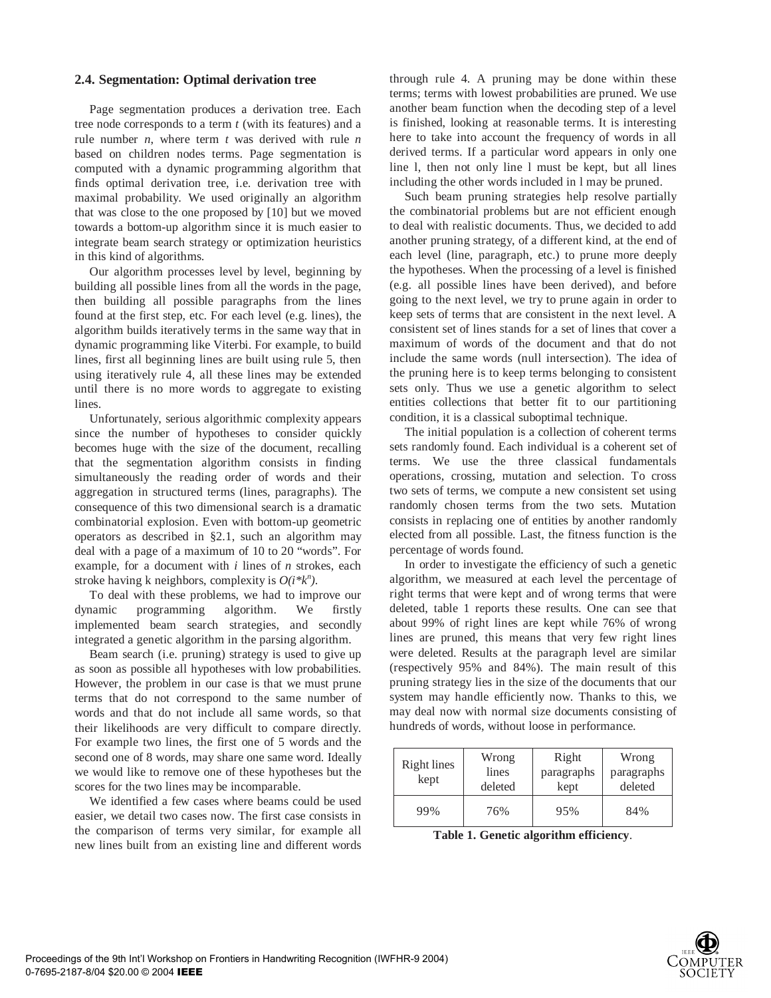#### **2.4. Segmentation: Optimal derivation tree**

Page segmentation produces a derivation tree. Each tree node corresponds to a term *t* (with its features) and a rule number *n*, where term *t* was derived with rule *n* based on children nodes terms. Page segmentation is computed with a dynamic programming algorithm that finds optimal derivation tree, i.e. derivation tree with maximal probability. We used originally an algorithm that was close to the one proposed by [10] but we moved towards a bottom-up algorithm since it is much easier to integrate beam search strategy or optimization heuristics in this kind of algorithms.

Our algorithm processes level by level, beginning by building all possible lines from all the words in the page, then building all possible paragraphs from the lines found at the first step, etc. For each level (e.g. lines), the algorithm builds iteratively terms in the same way that in dynamic programming like Viterbi. For example, to build lines, first all beginning lines are built using rule 5, then using iteratively rule 4, all these lines may be extended until there is no more words to aggregate to existing lines.

Unfortunately, serious algorithmic complexity appears since the number of hypotheses to consider quickly becomes huge with the size of the document, recalling that the segmentation algorithm consists in finding simultaneously the reading order of words and their aggregation in structured terms (lines, paragraphs). The consequence of this two dimensional search is a dramatic combinatorial explosion. Even with bottom-up geometric operators as described in §2.1, such an algorithm may deal with a page of a maximum of 10 to 20 "words". For example, for a document with *i* lines of *n* strokes, each stroke having k neighbors, complexity is  $O(i^*k^n)$ .

To deal with these problems, we had to improve our dynamic programming algorithm. We firstly implemented beam search strategies, and secondly integrated a genetic algorithm in the parsing algorithm.

Beam search (i.e. pruning) strategy is used to give up as soon as possible all hypotheses with low probabilities. However, the problem in our case is that we must prune terms that do not correspond to the same number of words and that do not include all same words, so that their likelihoods are very difficult to compare directly. For example two lines, the first one of 5 words and the second one of 8 words, may share one same word. Ideally we would like to remove one of these hypotheses but the scores for the two lines may be incomparable.

We identified a few cases where beams could be used easier, we detail two cases now. The first case consists in the comparison of terms very similar, for example all new lines built from an existing line and different words

through rule 4. A pruning may be done within these terms; terms with lowest probabilities are pruned. We use another beam function when the decoding step of a level is finished, looking at reasonable terms. It is interesting here to take into account the frequency of words in all derived terms. If a particular word appears in only one line l, then not only line l must be kept, but all lines including the other words included in l may be pruned.

Such beam pruning strategies help resolve partially the combinatorial problems but are not efficient enough to deal with realistic documents. Thus, we decided to add another pruning strategy, of a different kind, at the end of each level (line, paragraph, etc.) to prune more deeply the hypotheses. When the processing of a level is finished (e.g. all possible lines have been derived), and before going to the next level, we try to prune again in order to keep sets of terms that are consistent in the next level. A consistent set of lines stands for a set of lines that cover a maximum of words of the document and that do not include the same words (null intersection). The idea of the pruning here is to keep terms belonging to consistent sets only. Thus we use a genetic algorithm to select entities collections that better fit to our partitioning condition, it is a classical suboptimal technique.

The initial population is a collection of coherent terms sets randomly found. Each individual is a coherent set of terms. We use the three classical fundamentals operations, crossing, mutation and selection. To cross two sets of terms, we compute a new consistent set using randomly chosen terms from the two sets. Mutation consists in replacing one of entities by another randomly elected from all possible. Last, the fitness function is the percentage of words found.

In order to investigate the efficiency of such a genetic algorithm, we measured at each level the percentage of right terms that were kept and of wrong terms that were deleted, table 1 reports these results. One can see that about 99% of right lines are kept while 76% of wrong lines are pruned, this means that very few right lines were deleted. Results at the paragraph level are similar (respectively 95% and 84%). The main result of this pruning strategy lies in the size of the documents that our system may handle efficiently now. Thanks to this, we may deal now with normal size documents consisting of hundreds of words, without loose in performance.

| Right lines<br>kept | Wrong<br>lines<br>deleted |     | Wrong<br>paragraphs<br>deleted |  |
|---------------------|---------------------------|-----|--------------------------------|--|
| 99%                 | 76%                       | 95% | 84%                            |  |

**Table 1. Genetic algorithm efficiency**.

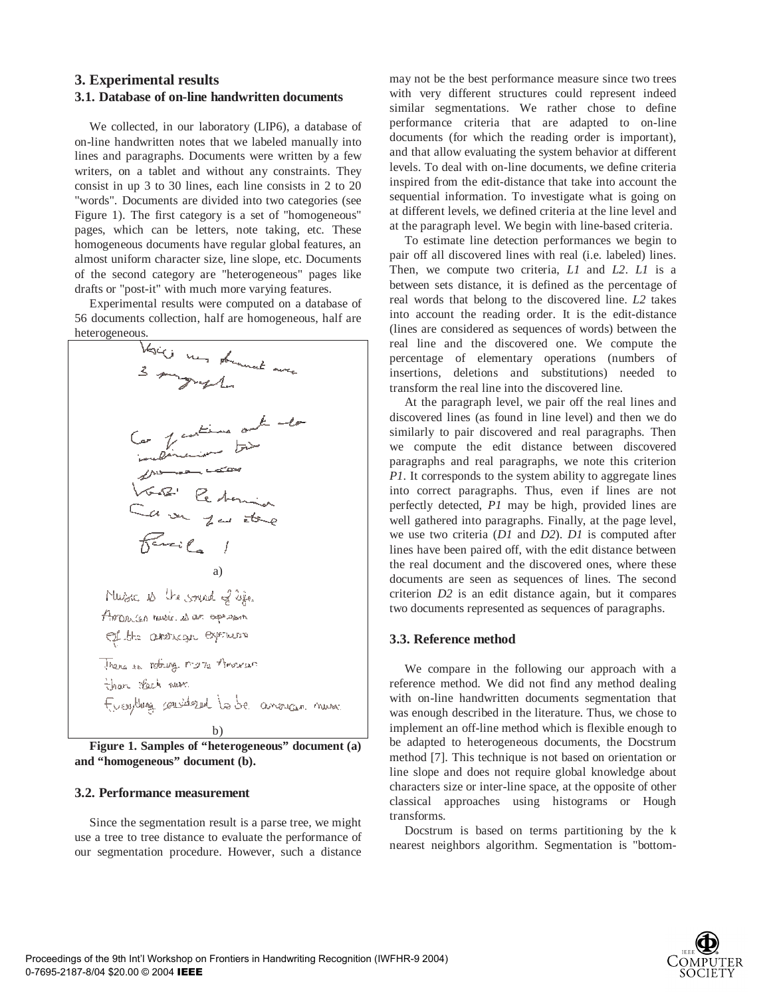## **3. Experimental results 3.1. Database of on-line handwritten documents**

We collected, in our laboratory (LIP6), a database of on-line handwritten notes that we labeled manually into lines and paragraphs. Documents were written by a few writers, on a tablet and without any constraints. They consist in up 3 to 30 lines, each line consists in 2 to 20 "words". Documents are divided into two categories (see Figure 1). The first category is a set of "homogeneous" pages, which can be letters, note taking, etc. These homogeneous documents have regular global features, an almost uniform character size, line slope, etc. Documents of the second category are "heterogeneous" pages like drafts or "post-it" with much more varying features.

Experimental results were computed on a database of 56 documents collection, half are homogeneous, half are heterogeneous.



**Figure 1. Samples of "heterogeneous" document (a) and "homogeneous" document (b).** 

#### **3.2. Performance measurement**

Since the segmentation result is a parse tree, we might use a tree to tree distance to evaluate the performance of our segmentation procedure. However, such a distance

may not be the best performance measure since two trees with very different structures could represent indeed similar segmentations. We rather chose to define performance criteria that are adapted to on-line documents (for which the reading order is important), and that allow evaluating the system behavior at different levels. To deal with on-line documents, we define criteria inspired from the edit-distance that take into account the sequential information. To investigate what is going on at different levels, we defined criteria at the line level and at the paragraph level. We begin with line-based criteria.

To estimate line detection performances we begin to pair off all discovered lines with real (i.e. labeled) lines. Then, we compute two criteria, *L1* and *L2*. *L1* is a between sets distance, it is defined as the percentage of real words that belong to the discovered line. *L2* takes into account the reading order. It is the edit-distance (lines are considered as sequences of words) between the real line and the discovered one. We compute the percentage of elementary operations (numbers of insertions, deletions and substitutions) needed to transform the real line into the discovered line.

At the paragraph level, we pair off the real lines and discovered lines (as found in line level) and then we do similarly to pair discovered and real paragraphs. Then we compute the edit distance between discovered paragraphs and real paragraphs, we note this criterion *P1*. It corresponds to the system ability to aggregate lines into correct paragraphs. Thus, even if lines are not perfectly detected, *P1* may be high, provided lines are well gathered into paragraphs. Finally, at the page level, we use two criteria (*D1* and *D2*). *D1* is computed after lines have been paired off, with the edit distance between the real document and the discovered ones, where these documents are seen as sequences of lines. The second criterion *D2* is an edit distance again, but it compares two documents represented as sequences of paragraphs.

#### **3.3. Reference method**

We compare in the following our approach with a reference method. We did not find any method dealing with on-line handwritten documents segmentation that was enough described in the literature. Thus, we chose to implement an off-line method which is flexible enough to be adapted to heterogeneous documents, the Docstrum method [7]. This technique is not based on orientation or line slope and does not require global knowledge about characters size or inter-line space, at the opposite of other classical approaches using histograms or Hough transforms.

Docstrum is based on terms partitioning by the k nearest neighbors algorithm. Segmentation is "bottom-

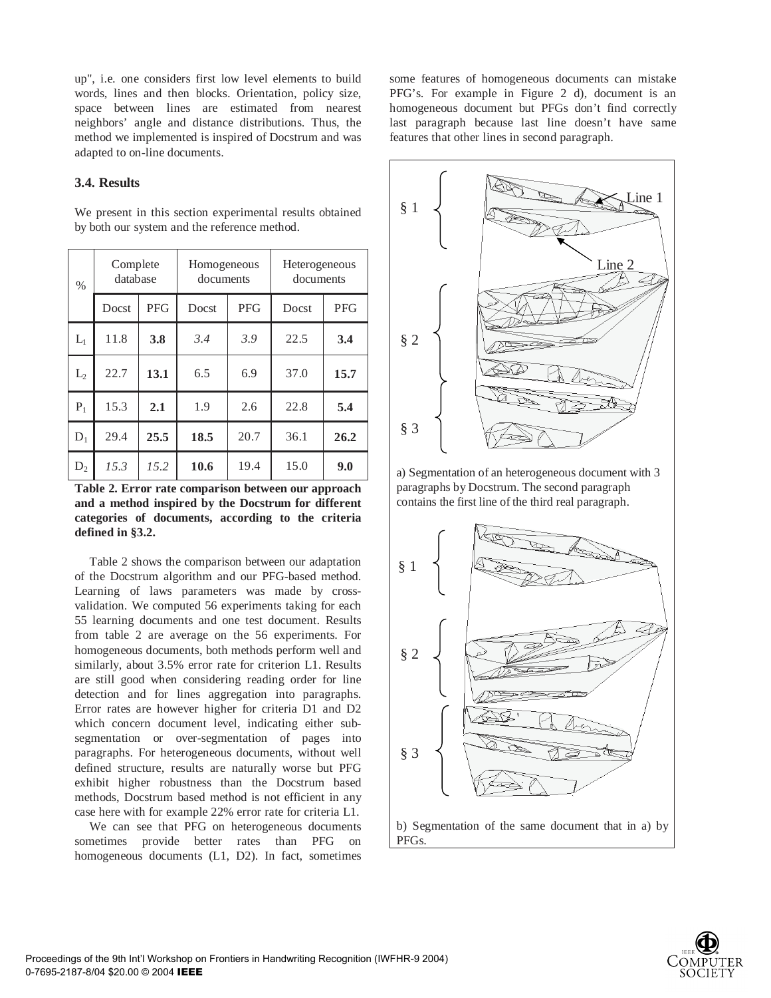up", i.e. one considers first low level elements to build words, lines and then blocks. Orientation, policy size, space between lines are estimated from nearest neighbors' angle and distance distributions. Thus, the method we implemented is inspired of Docstrum and was adapted to on-line documents.

#### **3.4. Results**

We present in this section experimental results obtained by both our system and the reference method.

| $\frac{0}{0}$ | Complete<br>database |            | Homogeneous<br>documents |            | Heterogeneous<br>documents |            |
|---------------|----------------------|------------|--------------------------|------------|----------------------------|------------|
|               | Docst                | <b>PFG</b> | Docst                    | <b>PFG</b> | Docst                      | <b>PFG</b> |
| $L_1$         | 11.8                 | 3.8        | 3.4                      | 3.9        | 22.5                       | 3.4        |
| $L_2$         | 22.7                 | 13.1       | 6.5                      | 6.9        | 37.0                       | 15.7       |
| $P_1$         | 15.3                 | 2.1        | 1.9                      | 2.6        | 22.8                       | 5.4        |
| $D_1$         | 29.4                 | 25.5       | 18.5                     | 20.7       | 36.1                       | 26.2       |
| $D_2$         | 15.3                 | 15.2       | 10.6                     | 19.4       | 15.0                       | 9.0        |

**Table 2. Error rate comparison between our approach and a method inspired by the Docstrum for different categories of documents, according to the criteria defined in §3.2.** 

Table 2 shows the comparison between our adaptation of the Docstrum algorithm and our PFG-based method. Learning of laws parameters was made by crossvalidation. We computed 56 experiments taking for each 55 learning documents and one test document. Results from table 2 are average on the 56 experiments. For homogeneous documents, both methods perform well and similarly, about 3.5% error rate for criterion L1. Results are still good when considering reading order for line detection and for lines aggregation into paragraphs. Error rates are however higher for criteria D1 and D2 which concern document level, indicating either subsegmentation or over-segmentation of pages into paragraphs. For heterogeneous documents, without well defined structure, results are naturally worse but PFG exhibit higher robustness than the Docstrum based methods, Docstrum based method is not efficient in any case here with for example 22% error rate for criteria L1.

We can see that PFG on heterogeneous documents sometimes provide better rates than PFG on homogeneous documents (L1, D2). In fact, sometimes

some features of homogeneous documents can mistake PFG's. For example in Figure 2 d), document is an homogeneous document but PFGs don't find correctly last paragraph because last line doesn't have same features that other lines in second paragraph.



a) Segmentation of an heterogeneous document with 3 paragraphs by Docstrum. The second paragraph contains the first line of the third real paragraph.